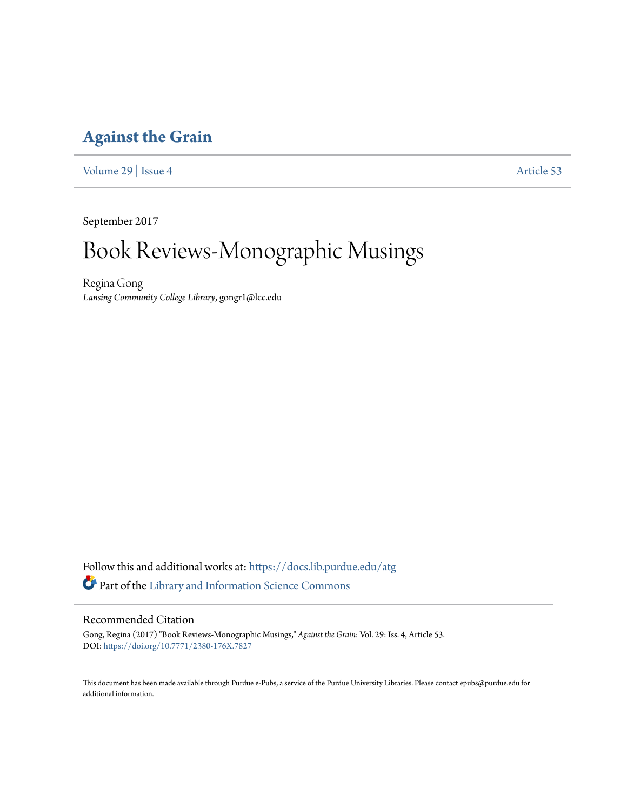### **[Against the Grain](https://docs.lib.purdue.edu/atg?utm_source=docs.lib.purdue.edu%2Fatg%2Fvol29%2Fiss4%2F53&utm_medium=PDF&utm_campaign=PDFCoverPages)**

[Volume 29](https://docs.lib.purdue.edu/atg/vol29?utm_source=docs.lib.purdue.edu%2Fatg%2Fvol29%2Fiss4%2F53&utm_medium=PDF&utm_campaign=PDFCoverPages) | [Issue 4](https://docs.lib.purdue.edu/atg/vol29/iss4?utm_source=docs.lib.purdue.edu%2Fatg%2Fvol29%2Fiss4%2F53&utm_medium=PDF&utm_campaign=PDFCoverPages) [Article 53](https://docs.lib.purdue.edu/atg/vol29/iss4/53?utm_source=docs.lib.purdue.edu%2Fatg%2Fvol29%2Fiss4%2F53&utm_medium=PDF&utm_campaign=PDFCoverPages)

September 2017

# Book Reviews-Monographic Musings

Regina Gong *Lansing Community College Library*, gongr1@lcc.edu

Follow this and additional works at: [https://docs.lib.purdue.edu/atg](https://docs.lib.purdue.edu/atg?utm_source=docs.lib.purdue.edu%2Fatg%2Fvol29%2Fiss4%2F53&utm_medium=PDF&utm_campaign=PDFCoverPages) Part of the [Library and Information Science Commons](http://network.bepress.com/hgg/discipline/1018?utm_source=docs.lib.purdue.edu%2Fatg%2Fvol29%2Fiss4%2F53&utm_medium=PDF&utm_campaign=PDFCoverPages)

### Recommended Citation

Gong, Regina (2017) "Book Reviews-Monographic Musings," *Against the Grain*: Vol. 29: Iss. 4, Article 53. DOI: <https://doi.org/10.7771/2380-176X.7827>

This document has been made available through Purdue e-Pubs, a service of the Purdue University Libraries. Please contact epubs@purdue.edu for additional information.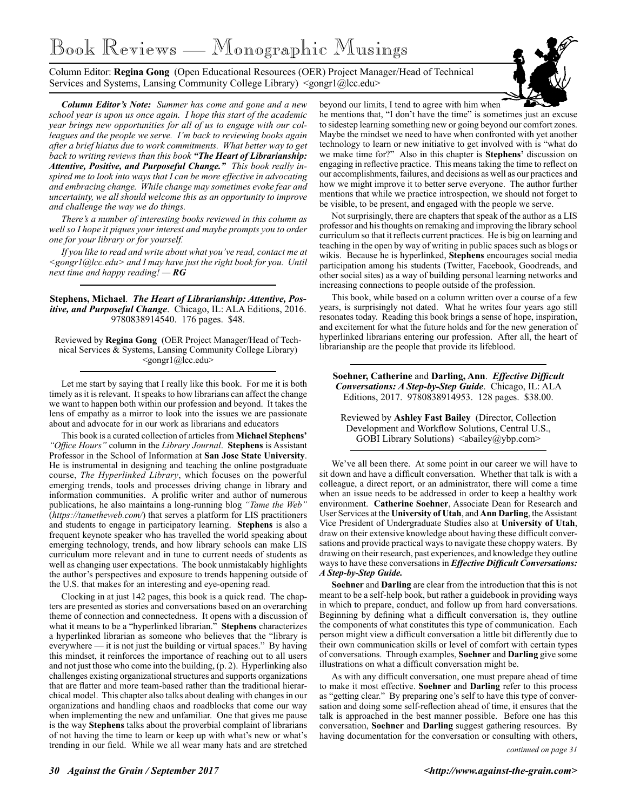# Book Reviews — Monographic Musings

Column Editor: **Regina Gong** (Open Educational Resources (OER) Project Manager/Head of Technical Services and Systems, Lansing Community College Library) <gongr1@lcc.edu>



*Column Editor's Note: Summer has come and gone and a new school year is upon us once again. I hope this start of the academic year brings new opportunities for all of us to engage with our colleagues and the people we serve. I'm back to reviewing books again after a brief hiatus due to work commitments. What better way to get back to writing reviews than this book "The Heart of Librarianship: Attentive, Positive, and Purposeful Change." This book really inspired me to look into ways that I can be more effective in advocating and embracing change. While change may sometimes evoke fear and uncertainty, we all should welcome this as an opportunity to improve and challenge the way we do things.* 

*There's a number of interesting books reviewed in this column as well so I hope it piques your interest and maybe prompts you to order one for your library or for yourself.* 

*If you like to read and write about what you've read, contact me at <gongr1@lcc.edu> and I may have just the right book for you. Until next time and happy reading! — RG*

**Stephens, Michael**. *The Heart of Librarianship: Attentive, Positive, and Purposeful Change*. Chicago, IL: ALA Editions, 2016. 9780838914540. 176 pages. \$48.

Reviewed by **Regina Gong** (OER Project Manager/Head of Technical Services & Systems, Lansing Community College Library)  $\leq$ gongr $1$ @lcc.edu>

Let me start by saying that I really like this book. For me it is both timely as it is relevant. It speaks to how librarians can affect the change we want to happen both within our profession and beyond. It takes the lens of empathy as a mirror to look into the issues we are passionate about and advocate for in our work as librarians and educators

This book is a curated collection of articles from **Michael Stephens'** *"Office Hours"* column in the *Library Journal*. **Stephens** is Assistant Professor in the School of Information at **San Jose State University**. He is instrumental in designing and teaching the online postgraduate course, *The Hyperlinked Library*, which focuses on the powerful emerging trends, tools and processes driving change in library and information communities. A prolific writer and author of numerous publications, he also maintains a long-running blog *"Tame the Web"*  (*https://tametheweb.com/*) that serves a platform for LIS practitioners and students to engage in participatory learning. **Stephens** is also a frequent keynote speaker who has travelled the world speaking about emerging technology, trends, and how library schools can make LIS curriculum more relevant and in tune to current needs of students as well as changing user expectations. The book unmistakably highlights the author's perspectives and exposure to trends happening outside of the U.S. that makes for an interesting and eye-opening read.

Clocking in at just 142 pages, this book is a quick read. The chapters are presented as stories and conversations based on an overarching theme of connection and connectedness. It opens with a discussion of what it means to be a "hyperlinked librarian." **Stephens** characterizes a hyperlinked librarian as someone who believes that the "library is everywhere — it is not just the building or virtual spaces." By having this mindset, it reinforces the importance of reaching out to all users and not just those who come into the building, (p. 2). Hyperlinking also challenges existing organizational structures and supports organizations that are flatter and more team-based rather than the traditional hierarchical model. This chapter also talks about dealing with changes in our organizations and handling chaos and roadblocks that come our way when implementing the new and unfamiliar. One that gives me pause is the way **Stephens** talks about the proverbial complaint of librarians of not having the time to learn or keep up with what's new or what's trending in our field. While we all wear many hats and are stretched

beyond our limits, I tend to agree with him when he mentions that, "I don't have the time" is sometimes just an excuse to sidestep learning something new or going beyond our comfort zones. Maybe the mindset we need to have when confronted with yet another technology to learn or new initiative to get involved with is "what do we make time for?" Also in this chapter is **Stephens'** discussion on engaging in reflective practice. This means taking the time to reflect on our accomplishments, failures, and decisions as well as our practices and how we might improve it to better serve everyone. The author further mentions that while we practice introspection, we should not forget to be visible, to be present, and engaged with the people we serve.

Not surprisingly, there are chapters that speak of the author as a LIS professor and his thoughts on remaking and improving the library school curriculum so that it reflects current practices. He is big on learning and teaching in the open by way of writing in public spaces such as blogs or wikis. Because he is hyperlinked, **Stephens** encourages social media participation among his students (Twitter, Facebook, Goodreads, and other social sites) as a way of building personal learning networks and increasing connections to people outside of the profession.

This book, while based on a column written over a course of a few years, is surprisingly not dated. What he writes four years ago still resonates today. Reading this book brings a sense of hope, inspiration, and excitement for what the future holds and for the new generation of hyperlinked librarians entering our profession. After all, the heart of librarianship are the people that provide its lifeblood.

**Soehner, Catherine** and **Darling, Ann**. *Effective Difficult Conversations: A Step-by-Step Guide*. Chicago, IL: ALA Editions, 2017. 9780838914953. 128 pages. \$38.00.

Reviewed by **Ashley Fast Bailey** (Director, Collection Development and Workflow Solutions, Central U.S., GOBI Library Solutions) <abailey@ybp.com>

We've all been there. At some point in our career we will have to sit down and have a difficult conversation. Whether that talk is with a colleague, a direct report, or an administrator, there will come a time when an issue needs to be addressed in order to keep a healthy work environment. **Catherine Soehner**, Associate Dean for Research and User Services at the **University of Utah**, and **Ann Darling**, the Assistant Vice President of Undergraduate Studies also at **University of Utah**, draw on their extensive knowledge about having these difficult conversations and provide practical ways to navigate these choppy waters. By drawing on their research, past experiences, and knowledge they outline ways to have these conversations in *Effective Difficult Conversations: A Step-by-Step Guide.*

**Soehner** and **Darling** are clear from the introduction that this is not meant to be a self-help book, but rather a guidebook in providing ways in which to prepare, conduct, and follow up from hard conversations. Beginning by defining what a difficult conversation is, they outline the components of what constitutes this type of communication. Each person might view a difficult conversation a little bit differently due to their own communication skills or level of comfort with certain types of conversations. Through examples, **Soehner** and **Darling** give some illustrations on what a difficult conversation might be.

As with any difficult conversation, one must prepare ahead of time to make it most effective. **Soehner** and **Darling** refer to this process as "getting clear." By preparing one's self to have this type of conversation and doing some self-reflection ahead of time, it ensures that the talk is approached in the best manner possible. Before one has this conversation, **Soehner** and **Darling** suggest gathering resources. By having documentation for the conversation or consulting with others,

*continued on page 31*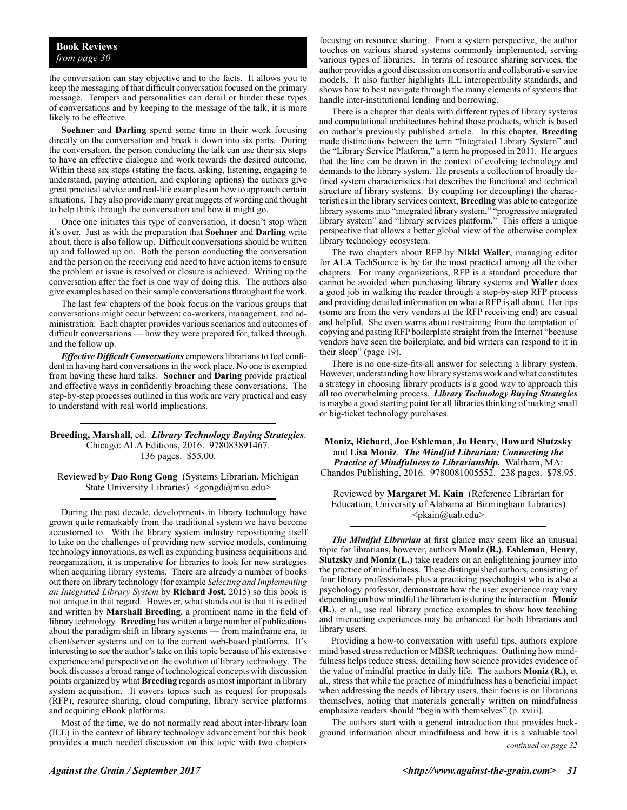the conversation can stay objective and to the facts. It allows you to keep the messaging of that difficult conversation focused on the primary message. Tempers and personalities can derail or hinder these types of conversations and by keeping to the message of the talk, it is more likely to be effective.

**Soehner** and **Darling** spend some time in their work focusing directly on the conversation and break it down into six parts. During the conversation, the person conducting the talk can use their six steps to have an effective dialogue and work towards the desired outcome. Within these six steps (stating the facts, asking, listening, engaging to understand, paying attention, and exploring options) the authors give great practical advice and real-life examples on how to approach certain situations. They also provide many great nuggets of wording and thought to help think through the conversation and how it might go.

Once one initiates this type of conversation, it doesn't stop when it's over. Just as with the preparation that **Soehner** and **Darling** write about, there is also follow up. Difficult conversations should be written up and followed up on. Both the person conducting the conversation and the person on the receiving end need to have action items to ensure the problem or issue is resolved or closure is achieved. Writing up the conversation after the fact is one way of doing this. The authors also give examples based on their sample conversations throughout the work.

The last few chapters of the book focus on the various groups that conversations might occur between: co-workers, management, and administration. Each chapter provides various scenarios and outcomes of difficult conversations — how they were prepared for, talked through, and the follow up.

*Effective Difficult Conversations* empowers librarians to feel confident in having hard conversations in the work place. No one is exempted from having these hard talks. **Soehner** and **Daring** provide practical and effective ways in confidently broaching these conversations. The step-by-step processes outlined in this work are very practical and easy to understand with real world implications.

**Breeding, Marshall**, ed. *Library Technology Buying Strategies*. Chicago: ALA Editions, 2016. 978083891467. 136 pages. \$55.00.

Reviewed by **Dao Rong Gong** (Systems Librarian, Michigan State University Libraries)  $\langle \text{gongd}(\hat{\alpha})$ msu.edu>

During the past decade, developments in library technology have grown quite remarkably from the traditional system we have become accustomed to. With the library system industry repositioning itself to take on the challenges of providing new service models, continuing technology innovations, as well as expanding business acquisitions and reorganization, it is imperative for libraries to look for new strategies when acquiring library systems. There are already a number of books out there on library technology (for example *Selecting and Implementing an Integrated Library System* by **Richard Jost**, 2015) so this book is not unique in that regard. However, what stands out is that it is edited and written by **Marshall Breeding**, a prominent name in the field of library technology. **Breeding** has written a large number of publications about the paradigm shift in library systems — from mainframe era, to client/server systems and on to the current web-based platforms. It's interesting to see the author's take on this topic because of his extensive experience and perspective on the evolution of library technology. The book discusses a broad range of technological concepts with discussion points organized by what **Breeding** regards as most important in library system acquisition. It covers topics such as request for proposals (RFP), resource sharing, cloud computing, library service platforms and acquiring eBook platforms.

Most of the time, we do not normally read about inter-library loan (ILL) in the context of library technology advancement but this book provides a much needed discussion on this topic with two chapters

focusing on resource sharing. From a system perspective, the author touches on various shared systems commonly implemented, serving various types of libraries. In terms of resource sharing services, the author provides a good discussion on consortia and collaborative service models. It also further highlights ILL interoperability standards, and shows how to best navigate through the many elements of systems that handle inter-institutional lending and borrowing.

There is a chapter that deals with different types of library systems and computational architectures behind those products, which is based on author's previously published article. In this chapter, **Breeding** made distinctions between the term "Integrated Library System" and the "Library Service Platform," a term he proposed in 2011. He argues that the line can be drawn in the context of evolving technology and demands to the library system. He presents a collection of broadly defined system characteristics that describes the functional and technical structure of library systems. By coupling (or decoupling) the characteristics in the library services context, **Breeding** was able to categorize library systems into "integrated library system," "progressive integrated library system" and "library services platform." This offers a unique perspective that allows a better global view of the otherwise complex library technology ecosystem.

The two chapters about RFP by **Nikki Waller**, managing editor for **ALA** TechSource is by far the most practical among all the other chapters. For many organizations, RFP is a standard procedure that cannot be avoided when purchasing library systems and **Waller** does a good job in walking the reader through a step-by-step RFP process and providing detailed information on what a RFP is all about. Her tips (some are from the very vendors at the RFP receiving end) are casual and helpful. She even warns about restraining from the temptation of copying and pasting RFP boilerplate straight from the Internet "because vendors have seen the boilerplate, and bid writers can respond to it in their sleep" (page 19).

There is no one-size-fits-all answer for selecting a library system. However, understanding how library systems work and what constitutes a strategy in choosing library products is a good way to approach this all too overwhelming process. *Library Technology Buying Strategies* is maybe a good starting point for all libraries thinking of making small or big-ticket technology purchases.

**Moniz, Richard**, **Joe Eshleman**, **Jo Henry**, **Howard Slutzsky** and **Lisa Moniz**. *The Mindful Librarian: Connecting the Practice of Mindfulness to Librarianship.* Waltham, MA: Chandos Publishing, 2016. 9780081005552. 238 pages. \$78.95.

Reviewed by **Margaret M. Kain** (Reference Librarian for Education, University of Alabama at Birmingham Libraries)  $\langle$ pkain@uab.edu>

*The Mindful Librarian* at first glance may seem like an unusual topic for librarians, however, authors **Moniz (R.)**, **Eshleman**, **Henry**, **Slutzsky** and **Moniz (L.)** take readers on an enlightening journey into the practice of mindfulness. These distinguished authors, consisting of four library professionals plus a practicing psychologist who is also a psychology professor, demonstrate how the user experience may vary depending on how mindful the librarian is during the interaction. **Moniz (R.**), et al., use real library practice examples to show how teaching and interacting experiences may be enhanced for both librarians and library users.

Providing a how-to conversation with useful tips, authors explore mind based stress reduction or MBSR techniques. Outlining how mindfulness helps reduce stress, detailing how science provides evidence of the value of mindful practice in daily life. The authors **Moniz (R.)**, et al., stress that while the practice of mindfulness has a beneficial impact when addressing the needs of library users, their focus is on librarians themselves, noting that materials generally written on mindfulness emphasize readers should "begin with themselves" (p. xviii).

The authors start with a general introduction that provides background information about mindfulness and how it is a valuable tool *continued on page 32*